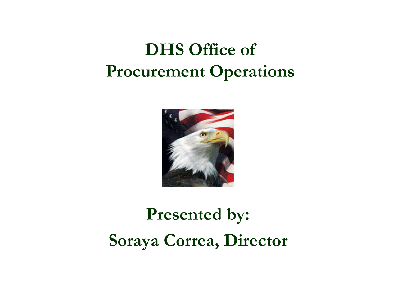## **DHS Office of Procurement Operations**



# **Presented by: Soraya Correa, Director**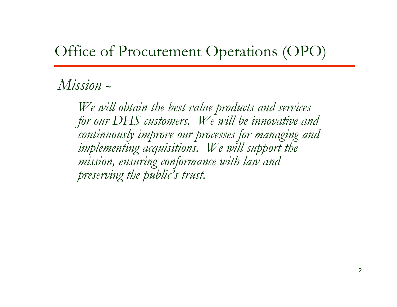## Office of Procurement Operations (OPO)

#### *Mission*  **~**

*We will obtain the best value products and services for our DHS customers. We will be innovative and continuously improve our processes for managing and implementing acquisitions. We will support the mission, ensuring conformance with law and preserving the public's trust.*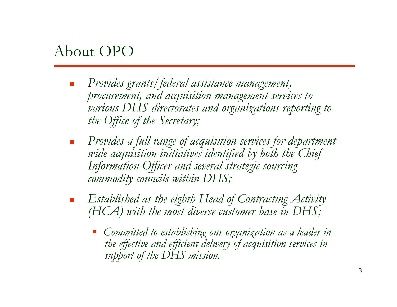## About OPO

- П *Provides grants/federal assistance management, procurement, and acquisition management services to various DHS directorates and organizations reporting to the Office of the Secretary;*
- × *Provides a full range of acquisition services for departmentwide acquisition initiatives identified by both the Chief Information Officer and several strategic sourcing commodity councils within DHS;*
- × *Established as the eighth Head of Contracting Activity (HCA) with the most diverse customer base in DHS;*
	- *Committed to establishing our organization as a leader in the effective and efficient delivery of acquisition services in support of the DHS mission.*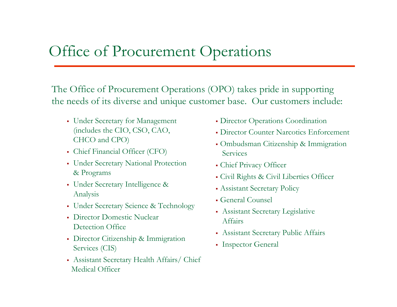## Office of Procurement Operations

The Office of Procurement Operations (OPO) takes pride in supporting the needs of its diverse and unique customer base. Our customers include:

- Under Secretary for Management (includes the CIO, CSO, CAO, CHCO and CPO)
- Chief Financial Officer (CFO)
- Under Secretary National Protection & Programs
- Under Secretary Intelligence & Analysis
- Under Secretary Science & Technology
- Director Domestic Nuclear Detection Office
- Director Citizenship & Immigration Services (CIS)
- Assistant Secretary Health Affairs/ Chief Medical Officer
- Director Operations Coordination
- Director Counter Narcotics Enforcement
- Ombudsman Citizenship & Immigration Services
- Chief Privacy Officer
- Civil Rights & Civil Liberties Officer
- Assistant Secretary Policy
- General Counsel
- Assistant Secretary Legislative Affairs
- Assistant Secretary Public Affairs
- Inspector General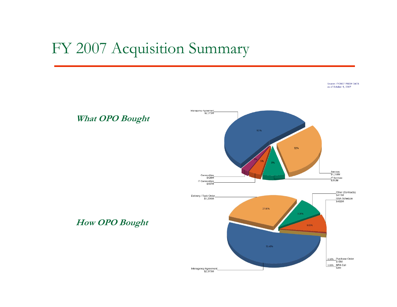#### FY 2007 Acquisition Summary

Source: FY2007 PRISM DATA as of October 9, 2007



**What OPO Bought**

**How OPO Bought**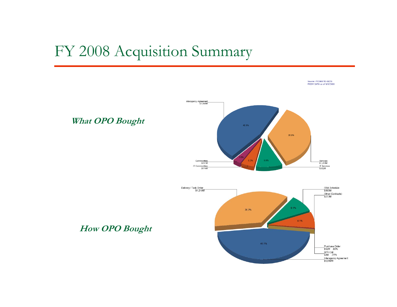## FY 2008 Acquisition Summary

Source: FY2008 TO 08/31 PRISM DATA as of 9/9/2008







**How OPO Bought**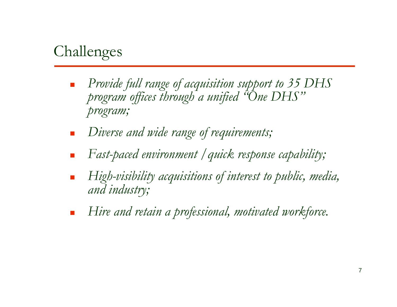## Challenges

- $\Box$  *Provide full range of acquisition support to 35 DHS program offices through a unified "One DHS" program;*
- $\Box$ *Diverse and wide range of requirements;*
- П *Fast-paced environment /quick response capability;*
- П *High-visibility acquisitions of interest to public, media, and industry;*
- П *Hire and retain a professional, motivated workforce.*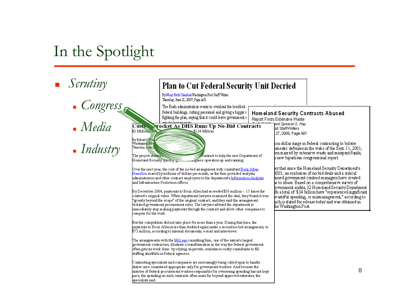## In the Spotlight

*Scrutiny*

- *Congress*
- *Media*
- *Industry*

|                                                                                                                                                                                                                                                                                                                                                                                | Plan to Cut Federal Security Unit Decried                                                                                                                                                                                                                                                                                                                                                                                                                                                                                                                                                                                                                                                                                                                                                                                                                                                                                                                                                                                                                                                                                                                                                                                                                                                                                                                                                                                                                                                                                                                                                          |  |                                                                                                                                                                                                                                                                                                                                                                                                                                        |  |
|--------------------------------------------------------------------------------------------------------------------------------------------------------------------------------------------------------------------------------------------------------------------------------------------------------------------------------------------------------------------------------|----------------------------------------------------------------------------------------------------------------------------------------------------------------------------------------------------------------------------------------------------------------------------------------------------------------------------------------------------------------------------------------------------------------------------------------------------------------------------------------------------------------------------------------------------------------------------------------------------------------------------------------------------------------------------------------------------------------------------------------------------------------------------------------------------------------------------------------------------------------------------------------------------------------------------------------------------------------------------------------------------------------------------------------------------------------------------------------------------------------------------------------------------------------------------------------------------------------------------------------------------------------------------------------------------------------------------------------------------------------------------------------------------------------------------------------------------------------------------------------------------------------------------------------------------------------------------------------------------|--|----------------------------------------------------------------------------------------------------------------------------------------------------------------------------------------------------------------------------------------------------------------------------------------------------------------------------------------------------------------------------------------------------------------------------------------|--|
|                                                                                                                                                                                                                                                                                                                                                                                | By Mary Beth Sherid an Was hington Post Staff Writer<br>Thursday, June 21, 2007; Page A01                                                                                                                                                                                                                                                                                                                                                                                                                                                                                                                                                                                                                                                                                                                                                                                                                                                                                                                                                                                                                                                                                                                                                                                                                                                                                                                                                                                                                                                                                                          |  |                                                                                                                                                                                                                                                                                                                                                                                                                                        |  |
|                                                                                                                                                                                                                                                                                                                                                                                | The Bush administration wants to overhaul the troubled a<br>federal buildings, cutting personnel and giving a bigger r<br>fighting the plan, saying that it could leave government e                                                                                                                                                                                                                                                                                                                                                                                                                                                                                                                                                                                                                                                                                                                                                                                                                                                                                                                                                                                                                                                                                                                                                                                                                                                                                                                                                                                                               |  | Homeland Security Conti<br>Report Finds Extensive Waste                                                                                                                                                                                                                                                                                                                                                                                |  |
| $\overline{\text{Cos}}$<br>$$2$ Million $\frac{1}{2}$<br>By Robert China<br>Washingto <del>n Pos</del><br>Thursday, kine 2                                                                                                                                                                                                                                                     | <b>Procket As DHS Runs Up No-Bid Contracts</b><br>\$124 Million<br>The project started a<br>contract to help the new Department of<br>Homeland Security quickly<br>somgence operation up and running.<br>Over the next year, the cost of the no-bid arrangement with consultant $\overline{\text{B}\cos\text{All}}$ en<br>Hamilton soared by millions of dollars per month, as the firm provided analysts,<br>administrators and other contract employees to the department's Information Analysis<br>and Infrastructure Protection offices.<br>By December 2004, payments to Booz Allen had ex ceeded \$30 million -- 15 times the<br>contract's original value. When department lawyers examined the deal, they found it was<br>"grossly beyond the scope" of the original contract, and they said the arrangement<br>violated government procurement rules. The lawyers advised the department to<br>immediately stop making payments through the contract and allow other companies to<br>compete for the work.<br>But the competition did not take place for more than a year. During that time, the<br>payments to Booz. Allen more than doubled again under a second no-bid arrangement, to<br>$$73$ million, according to internal documents, e-mail and interviews.<br>The arrangements with the <u>McLean</u> consulting firm, one of the nation's largest<br>government contractors, illustrate a transformation in the way the federal government<br>often gets its work done: by relying on private, sometimes costly consultants to fill<br>staffing shortfalls in federal agencies. |  | and Spencer S. Hsu<br>bst StaffWriters<br>27, 2006; Page A01<br>ion-dollar surge in fed<br>omestic defenses in th<br>een marred by extensiv<br>a new bipartisan congr<br>ay that since the $\operatorname{Hom}_\ell$<br>2003, an explosion of :<br>ained government con<br>ie to abuse. Based on :<br>rovernment audits, 32 i<br>th atotal of \$34 billic<br>wasteful spending, or:<br>uch is slated for releas<br>he Washington Post. |  |
| C ontracting specialists said companies are increasingly being called upon to handle<br>duties once considered appropriate only for government workers. And because the<br>mumber of federal procurement w orkers responsible for overseeing spending has not kept<br>pace, the spending on such contracts often soars far beyond approved estimates, the<br>specialists said. |                                                                                                                                                                                                                                                                                                                                                                                                                                                                                                                                                                                                                                                                                                                                                                                                                                                                                                                                                                                                                                                                                                                                                                                                                                                                                                                                                                                                                                                                                                                                                                                                    |  |                                                                                                                                                                                                                                                                                                                                                                                                                                        |  |

racts Abused

leral contracting to bolster e wake of the Sept. 11, 2001, ve waste and misspent funds, ressional report.

eland Security Department's | no-bid deals and a critical itract managers have created a comprehensive survey of Homeland Security Department on have "experienced significant mismanagement," according to se today and was obtained in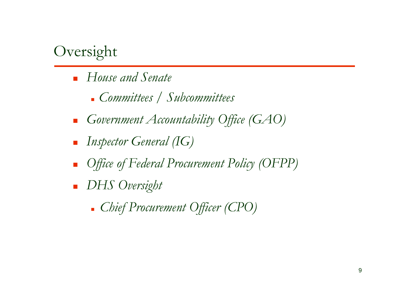## Oversight

- *House and Senate*
	- *Committees / Subcommittees*
- П *Government Accountability Office (GAO)*
- × *Inspector General (IG)*
- П *Office of Federal Procurement Policy (OFPP)*
- *DHS Oversight*
	- *Chief Procurement Officer (CPO)*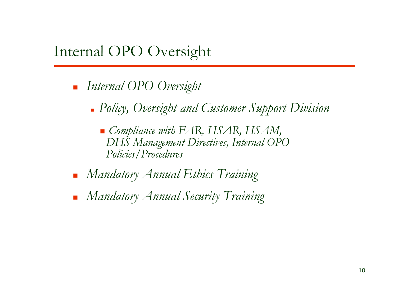## Internal OPO Oversight

- *Internal OPO Oversight*
	- *Policy, Oversight and Customer Support Division*
		- *Compliance with FAR, HSAR, HSAM, DHS Management Directives, Internal OPO Policies/Procedures*
- *Mandatory Annual Ethics Training*
- *Mandatory Annual Security Training*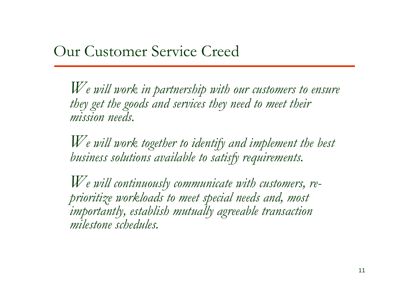*We will work in partnership with our customers to ensure they get the goods and services they need to meet their mission needs.* 

*We will work together to identify and implement the best business solutions available to satisfy requirements.*

*We will continuously communicate with customers, reprioritize workloads to meet special needs and, most importantly, establish mutually agreeable transaction milestone schedules.*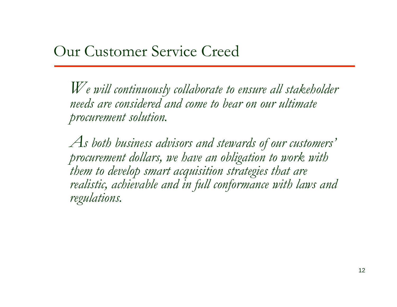*We will continuously collaborate to ensure all stakeholder needs are considered and come to bear on our ultimate procurement solution.* 

*As both business advisors and stewards of our customers' procurement dollars, we have an obligation to work with them to develop smart acquisition strategies that are realistic, achievable and in full conformance with laws and regulations.*